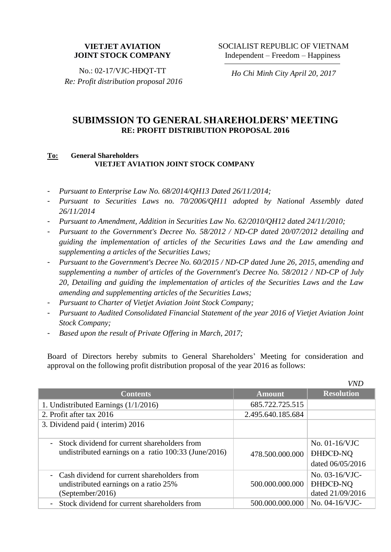## **VIETJET AVIATION JOINT STOCK COMPANY**

No.: 02-17/VJC-HĐQT-TT *Re: Profit distribution proposal 2016*

*Ho Chi Minh City April 20, 2017*

*VND*

## **SUBIMSSION TO GENERAL SHAREHOLDERS' MEETING RE: PROFIT DISTRIBUTION PROPOSAL 2016**

## **To: General Shareholders VIETJET AVIATION JOINT STOCK COMPANY**

- *Pursuant to Enterprise Law No. 68/2014/QH13 Dated 26/11/2014;*
- *Pursuant to Securities Laws no. 70/2006/QH11 adopted by National Assembly dated 26/11/2014*
- *Pursuant to Amendment, Addition in Securities Law No. 62/2010/QH12 dated 24/11/2010;*
- *Pursuant to the Government's Decree No. 58/2012 / ND-CP dated 20/07/2012 detailing and guiding the implementation of articles of the Securities Laws and the Law amending and supplementing a articles of the Securities Laws;*
- *Pursuant to the Government's Decree No. 60/2015 / ND-CP dated June 26, 2015, amending and supplementing a number of articles of the Government's Decree No. 58/2012 / ND-CP of July 20, Detailing and guiding the implementation of articles of the Securities Laws and the Law amending and supplementing articles of the Securities Laws;*
- *Pursuant to Charter of Vietjet Aviation Joint Stock Company;*
- *Pursuant to Audited Consolidated Financial Statement of the year 2016 of Vietjet Aviation Joint Stock Company;*
- *Based upon the result of Private Offering in March, 2017;*

Board of Directors hereby submits to General Shareholders' Meeting for consideration and approval on the following profit distribution proposal of the year 2016 as follows:

|                                                      |                   | <i>VND</i>        |
|------------------------------------------------------|-------------------|-------------------|
| <b>Contents</b>                                      | <b>Amount</b>     | <b>Resolution</b> |
| 1. Undistributed Earnings $(1/1/2016)$               | 685.722.725.515   |                   |
| 2. Profit after tax 2016                             | 2.495.640.185.684 |                   |
| 3. Dividend paid (interim) 2016                      |                   |                   |
|                                                      |                   |                   |
| Stock dividend for current shareholders from         |                   | No. 01-16/VJC     |
| undistributed earnings on a ratio 100:33 (June/2016) | 478.500.000.000   | <b>DHDCD-NQ</b>   |
|                                                      |                   | dated 06/05/2016  |
| - Cash dividend for current shareholders from        |                   | No. 03-16/VJC-    |
| undistributed earnings on a ratio 25%                | 500.000.000.000   | <b>DHDCD-NQ</b>   |
| (September/2016)                                     |                   | dated 21/09/2016  |
| Stock dividend for current shareholders from         | 500.000.000.000   | No. 04-16/VJC-    |